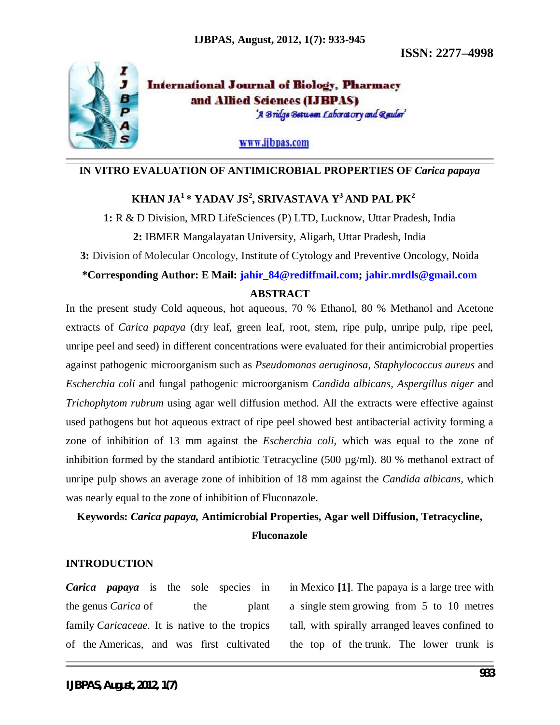**ISSN: 2277–4998**



**International Journal of Biology, Pharmacy** and Allied Sciences (IJBPAS) 'A Bridge Between Laboratory and Reader'

www.ijbpas.com

### **IN VITRO EVALUATION OF ANTIMICROBIAL PROPERTIES OF** *Carica papaya*

# **KHAN JA<sup>1</sup>\* YADAV JS 2 , SRIVASTAVA Y<sup>3</sup> AND PAL PK<sup>2</sup>**

**1:** R & D Division, MRD LifeSciences (P) LTD, Lucknow, Uttar Pradesh, India **2:** IBMER Mangalayatan University, Aligarh, Uttar Pradesh, India

**3:** Division of Molecular Oncology, Institute of Cytology and Preventive Oncology, Noida

#### **\*Corresponding Author: E Mail: jahir\_84@rediffmail.com; jahir.mrdls@gmail.com**

# **ABSTRACT**

In the present study Cold aqueous, hot aqueous, 70 % Ethanol, 80 % Methanol and Acetone extracts of *Carica papaya* (dry leaf, green leaf, root, stem, ripe pulp, unripe pulp, ripe peel, unripe peel and seed) in different concentrations were evaluated for their antimicrobial properties against pathogenic microorganism such as *Pseudomonas aeruginosa, Staphylococcus aureus* and *Escherchia coli* and fungal pathogenic microorganism *Candida albicans, Aspergillus niger* and *Trichophytom rubrum* using agar well diffusion method. All the extracts were effective against used pathogens but hot aqueous extract of ripe peel showed best antibacterial activity forming a zone of inhibition of 13 mm against the *Escherchia coli,* which was equal to the zone of inhibition formed by the standard antibiotic Tetracycline (500  $\mu$ g/ml). 80 % methanol extract of unripe pulp shows an average zone of inhibition of 18 mm against the *Candida albicans,* which was nearly equal to the zone of inhibition of Fluconazole.

# **Keywords:** *Carica papaya,* **Antimicrobial Properties, Agar well Diffusion, Tetracycline, Fluconazole**

### **INTRODUCTION**

*Carica papaya* is the sole species in the genus *Carica* of the plant family *Caricaceae*. It is native to the tropics of the Americas, and was first cultivated in Mexico **[1]**. The papaya is a large tree with a single stem growing from 5 to 10 metres tall, with spirally arranged leaves confined to the top of the trunk. The lower trunk is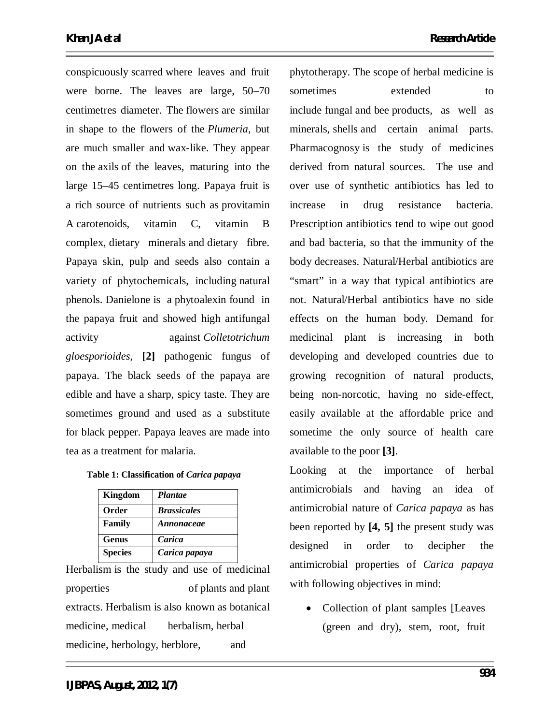conspicuously scarred where leaves and fruit were borne. The leaves are large, 50–70 centimetres diameter. The flowers are similar in shape to the flowers of the *Plumeria*, but are much smaller and wax-like. They appear on the axils of the leaves, maturing into the large 15–45 centimetres long. Papaya fruit is a rich source of nutrients such as provitamin A carotenoids, vitamin C, vitamin B complex, dietary minerals and dietary fibre. Papaya skin, pulp and seeds also contain a variety of phytochemicals, including natural phenols. Danielone is a phytoalexin found in the papaya fruit and showed high antifungal activity against *Colletotrichum gloesporioides*, **[2]** pathogenic fungus of papaya. The black seeds of the papaya are edible and have a sharp, spicy taste. They are sometimes ground and used as a substitute for black pepper. Papaya leaves are made into tea as a treatment for malaria.

| Table 1: Classification of Carica papaya |  |  |
|------------------------------------------|--|--|
|------------------------------------------|--|--|

| Kingdom        | <b>Plantae</b>     |
|----------------|--------------------|
| Order          | <b>Brassicales</b> |
| Family         | Annonaceae         |
| <b>Genus</b>   | Carica             |
| <b>Species</b> | Carica papaya      |

Herbalism is the study and use of medicinal properties of plants and plant extracts. Herbalism is also known as botanical medicine, medical herbalism, herbal medicine, herbology, herblore, and

phytotherapy. The scope of herbal medicine is sometimes extended to include fungal and bee products, as well as minerals, shells and certain animal parts. Pharmacognosy is the study of medicines derived from natural sources. The use and over use of synthetic antibiotics has led to increase in drug resistance bacteria. Prescription antibiotics tend to wipe out good and bad bacteria, so that the immunity of the body decreases. Natural/Herbal antibiotics are "smart" in a way that typical antibiotics are not. Natural/Herbal antibiotics have no side effects on the human body. Demand for medicinal plant is increasing in both developing and developed countries due to growing recognition of natural products, being non-norcotic, having no side-effect, easily available at the affordable price and sometime the only source of health care available to the poor **[3]**.

Looking at the importance of herbal antimicrobials and having an idea of antimicrobial nature of *Carica papaya* as has been reported by **[4, 5]** the present study was designed in order to decipher the antimicrobial properties of *Carica papaya* with following objectives in mind:

• Collection of plant samples [Leaves] (green and dry), stem, root, fruit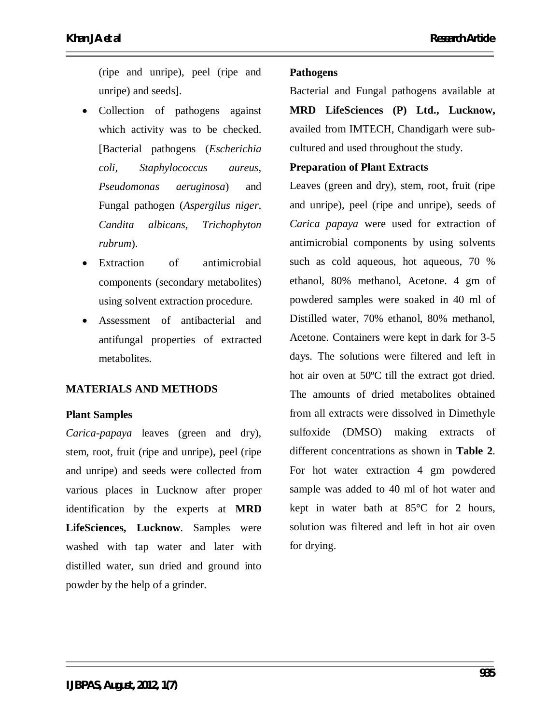(ripe and unripe), peel (ripe and unripe) and seeds].

- Collection of pathogens against which activity was to be checked. [Bacterial pathogens (*Escherichia coli, Staphylococcus aureus, Pseudomonas aeruginosa*) and Fungal pathogen (*Aspergilus niger, Candita albicans, Trichophyton rubrum*).
- Extraction of antimicrobial components (secondary metabolites) using solvent extraction procedure.
- Assessment of antibacterial and antifungal properties of extracted metabolites.

# **MATERIALS AND METHODS**

# **Plant Samples**

*Carica-papaya* leaves (green and dry), stem, root, fruit (ripe and unripe), peel (ripe and unripe) and seeds were collected from various places in Lucknow after proper identification by the experts at **MRD LifeSciences, Lucknow**. Samples were washed with tap water and later with distilled water, sun dried and ground into powder by the help of a grinder.

# **Pathogens**

Bacterial and Fungal pathogens available at **MRD LifeSciences (P) Ltd., Lucknow,** availed from IMTECH, Chandigarh were subcultured and used throughout the study.

### **Preparation of Plant Extracts**

Leaves (green and dry), stem, root, fruit (ripe and unripe), peel (ripe and unripe), seeds of *Carica papaya* were used for extraction of antimicrobial components by using solvents such as cold aqueous, hot aqueous, 70 % ethanol, 80% methanol, Acetone. 4 gm of powdered samples were soaked in 40 ml of Distilled water, 70% ethanol, 80% methanol, Acetone. Containers were kept in dark for 3-5 days. The solutions were filtered and left in hot air oven at 50ºC till the extract got dried. The amounts of dried metabolites obtained from all extracts were dissolved in Dimethyle sulfoxide (DMSO) making extracts of different concentrations as shown in **Table 2**. For hot water extraction 4 gm powdered sample was added to 40 ml of hot water and kept in water bath at 85°C for 2 hours, solution was filtered and left in hot air oven for drying.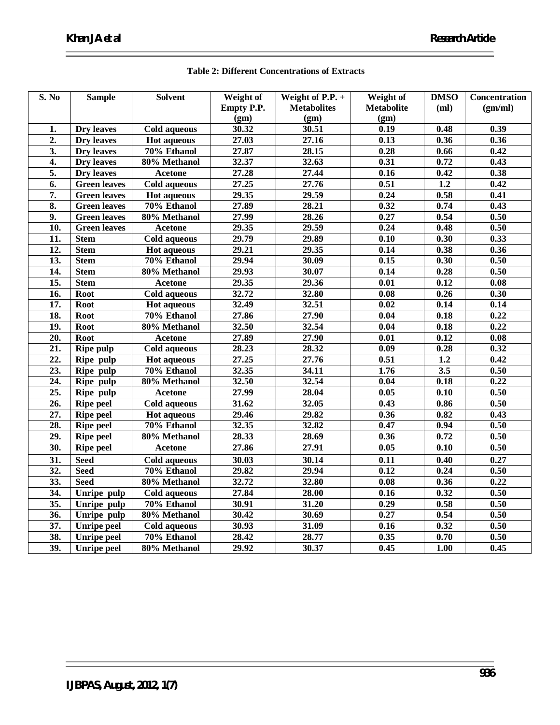| <b>S. No</b>      | <b>Sample</b>       | <b>Solvent</b>      | Weight of  | Weight of $P.P. +$ | Weight of         | <b>DMSO</b>       | Concentration     |
|-------------------|---------------------|---------------------|------------|--------------------|-------------------|-------------------|-------------------|
|                   |                     |                     | Empty P.P. | <b>Metabolites</b> | <b>Metabolite</b> | (ml)              | (gm/ml)           |
|                   |                     |                     | (gm)       | (gm)               | (gm)              |                   |                   |
| 1.                | <b>Dry</b> leaves   | <b>Cold aqueous</b> | 30.32      | 30.51              | 0.19              | 0.48              | 0.39              |
| $\overline{2}$ .  | <b>Dry</b> leaves   | <b>Hot aqueous</b>  | 27.03      | 27.16              | 0.13              | 0.36              | 0.36              |
| $\overline{3}$ .  | Dry leaves          | $70\%$ Ethanol      | 27.87      | 28.15              | 0.28              | 0.66              | $\overline{0.42}$ |
| $\overline{4}$ .  | Dry leaves          | 80% Methanol        | 32.37      | 32.63              | 0.31              | 0.72              | 0.43              |
| $\overline{5}$ .  | <b>Dry</b> leaves   | <b>Acetone</b>      | 27.28      | 27.44              | $\overline{0.16}$ | 0.42              | 0.38              |
| 6.                | <b>Green leaves</b> | <b>Cold aqueous</b> | 27.25      | 27.76              | 0.51              | 1.2               | 0.42              |
| $\overline{7}$ .  | <b>Green leaves</b> | <b>Hot aqueous</b>  | 29.35      | 29.59              | 0.24              | 0.58              | 0.41              |
| 8.                | <b>Green leaves</b> | 70% Ethanol         | 27.89      | 28.21              | 0.32              | 0.74              | 0.43              |
| $\overline{9}$ .  | <b>Green leaves</b> | 80% Methanol        | 27.99      | 28.26              | 0.27              | 0.54              | 0.50              |
| 10.               | <b>Green leaves</b> | <b>Acetone</b>      | 29.35      | 29.59              | 0.24              | 0.48              | 0.50              |
| 11.               | <b>Stem</b>         | <b>Cold aqueous</b> | 29.79      | 29.89              | 0.10              | 0.30              | 0.33              |
| $\overline{12}$ . | <b>Stem</b>         | <b>Hot aqueous</b>  | 29.21      | 29.35              | 0.14              | 0.38              | 0.36              |
| 13.               | <b>Stem</b>         | 70% Ethanol         | 29.94      | 30.09              | 0.15              | 0.30              | 0.50              |
| 14.               | <b>Stem</b>         | 80% Methanol        | 29.93      | 30.07              | 0.14              | 0.28              | 0.50              |
| $\overline{15}$ . | <b>Stem</b>         | <b>Acetone</b>      | 29.35      | 29.36              | $\overline{0.01}$ | 0.12              | $\overline{0.08}$ |
| $\overline{16}$ . | <b>Root</b>         | Cold aqueous        | 32.72      | 32.80              | $\overline{0.08}$ | 0.26              | 0.30              |
| $\overline{17}$ . | <b>Root</b>         | <b>Hot aqueous</b>  | 32.49      | 32.51              | $\overline{0.02}$ | 0.14              | 0.14              |
| 18.               | <b>Root</b>         | 70% Ethanol         | 27.86      | 27.90              | 0.04              | 0.18              | 0.22              |
| 19.               | <b>Root</b>         | 80% Methanol        | 32.50      | 32.54              | $\overline{0.04}$ | 0.18              | 0.22              |
| $\overline{20}$ . | <b>Root</b>         | <b>Acetone</b>      | 27.89      | 27.90              | $\overline{0.01}$ | 0.12              | $\overline{0.08}$ |
| 21.               | Ripe pulp           | <b>Cold aqueous</b> | 28.23      | 28.32              | $\overline{0.09}$ | 0.28              | 0.32              |
| $\overline{22}$ . | Ripe pulp           | <b>Hot aqueous</b>  | 27.25      | 27.76              | 0.51              | $\overline{1.2}$  | 0.42              |
| 23.               | Ripe pulp           | 70% Ethanol         | 32.35      | 34.11              | 1.76              | 3.5               | 0.50              |
| $\overline{24}$ . | Ripe pulp           | $80%$ Methanol      | 32.50      | 32.54              | 0.04              | 0.18              | 0.22              |
| 25.               | Ripe pulp           | <b>Acetone</b>      | 27.99      | 28.04              | 0.05              | 0.10              | 0.50              |
| $\overline{26}$ . | <b>Ripe peel</b>    | <b>Cold aqueous</b> | 31.62      | 32.05              | 0.43              | 0.86              | 0.50              |
| 27.               | <b>Ripe peel</b>    | <b>Hot aqueous</b>  | 29.46      | 29.82              | 0.36              | 0.82              | 0.43              |
| 28.               | <b>Ripe peel</b>    | 70% Ethanol         | 32.35      | 32.82              | 0.47              | 0.94              | 0.50              |
| $\overline{29}$ . | <b>Ripe peel</b>    | 80% Methanol        | 28.33      | 28.69              | 0.36              | 0.72              | 0.50              |
| 30.               | <b>Ripe peel</b>    | <b>Acetone</b>      | 27.86      | 27.91              | 0.05              | $\overline{0.10}$ | 0.50              |
| $\overline{31}$ . | <b>Seed</b>         | <b>Cold aqueous</b> | 30.03      | 30.14              | $\overline{0.11}$ | 0.40              | $\overline{0.27}$ |
| $\overline{32}$ . | <b>Seed</b>         | $70%$ Ethanol       | 29.82      | 29.94              | $\overline{0.12}$ | 0.24              | $\overline{0.50}$ |
| 33.               | <b>Seed</b>         | 80% Methanol        | 32.72      | 32.80              | 0.08              | 0.36              | 0.22              |
| $\overline{34.}$  | Unripe pulp         | <b>Cold aqueous</b> | 27.84      | 28.00              | 0.16              | 0.32              | 0.50              |
| $\overline{35}$ . | Unripe pulp         | 70% Ethanol         | 30.91      | 31.20              | 0.29              | 0.58              | 0.50              |
| 36.               | Unripe pulp         | 80% Methanol        | 30.42      | 30.69              | 0.27              | 0.54              | 0.50              |
| $\overline{37}$ . | <b>Unripe peel</b>  | <b>Cold aqueous</b> | 30.93      | 31.09              | $\overline{0.16}$ | 0.32              | 0.50              |
| 38.               | <b>Unripe peel</b>  | 70% Ethanol         | 28.42      | 28.77              | 0.35              | 0.70              | 0.50              |
| $\overline{39.}$  | <b>Unripe peel</b>  | $80%$ Methanol      | 29.92      | 30.37              | 0.45              | 1.00              | 0.45              |

# **Table 2: Different Concentrations of Extracts**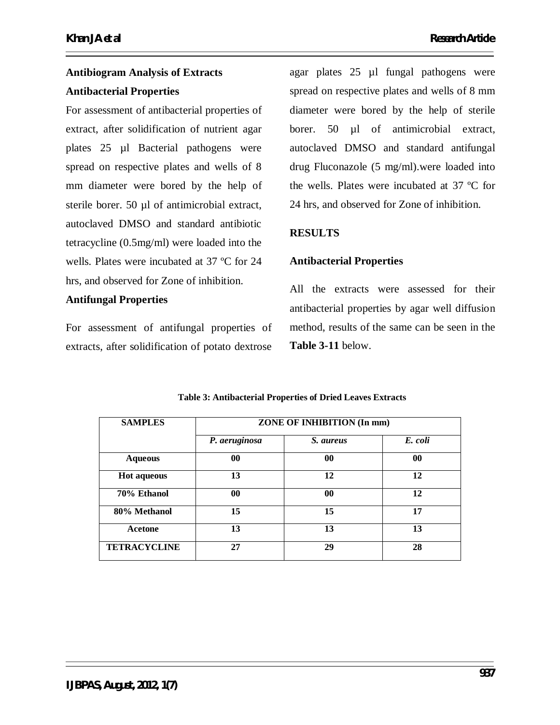# **Antibiogram Analysis of Extracts Antibacterial Properties**

For assessment of antibacterial properties of extract, after solidification of nutrient agar plates 25 µl Bacterial pathogens were spread on respective plates and wells of 8 mm diameter were bored by the help of sterile borer. 50 µl of antimicrobial extract, autoclaved DMSO and standard antibiotic tetracycline (0.5mg/ml) were loaded into the wells. Plates were incubated at 37 ºC for 24 hrs, and observed for Zone of inhibition.

# **Antifungal Properties**

For assessment of antifungal properties of extracts, after solidification of potato dextrose agar plates 25 µl fungal pathogens were spread on respective plates and wells of 8 mm diameter were bored by the help of sterile borer. 50 ul of antimicrobial extract, autoclaved DMSO and standard antifungal drug Fluconazole (5 mg/ml).were loaded into the wells. Plates were incubated at 37 ºC for 24 hrs, and observed for Zone of inhibition.

# **RESULTS**

# **Antibacterial Properties**

All the extracts were assessed for their antibacterial properties by agar well diffusion method, results of the same can be seen in the **Table 3-11** below.

| <b>SAMPLES</b>      | ZONE OF INHIBITION (In mm) |                  |         |  |
|---------------------|----------------------------|------------------|---------|--|
|                     | P. aeruginosa              | <i>S. aureus</i> | E. coli |  |
| <b>Aqueous</b>      | 00                         | $\bf{00}$        | 00      |  |
| <b>Hot aqueous</b>  | 13                         | 12               | 12      |  |
| 70% Ethanol         | 00                         | $\bf{00}$        | 12      |  |
| 80% Methanol        | 15                         | 15               | 17      |  |
| Acetone             | 13                         | 13               | 13      |  |
| <b>TETRACYCLINE</b> | 27                         | 29               | 28      |  |

### **Table 3: Antibacterial Properties of Dried Leaves Extracts**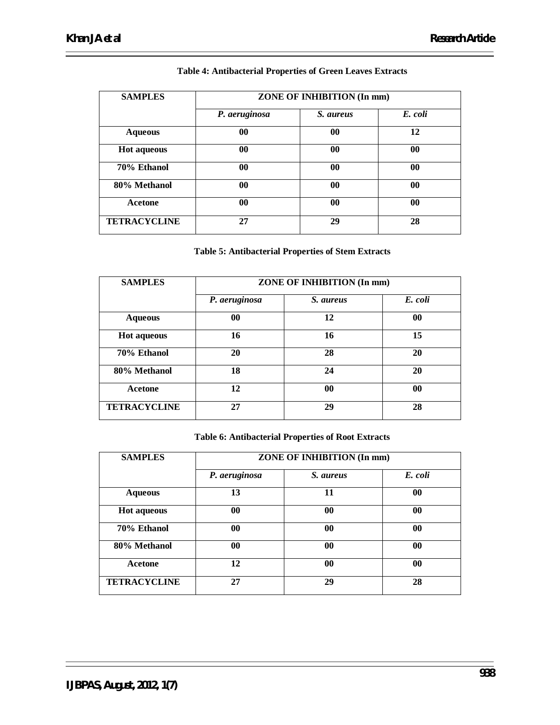| <b>SAMPLES</b>      | ZONE OF INHIBITION (In mm) |           |                |
|---------------------|----------------------------|-----------|----------------|
|                     | P. aeruginosa              | S. aureus | E. coli        |
| <b>Aqueous</b>      | $\bf{00}$                  | $\bf{00}$ | 12             |
| <b>Hot aqueous</b>  | 00                         | $\bf{00}$ | 00             |
| 70% Ethanol         | $\bf{00}$                  | $\bf{00}$ | $\bf{00}$      |
| 80% Methanol        | $\bf{00}$                  | $\bf{00}$ | 00             |
| Acetone             | 0 <sub>0</sub>             | $\bf{00}$ | 0 <sub>0</sub> |
| <b>TETRACYCLINE</b> | 27                         | 29        | 28             |

### **Table 4: Antibacterial Properties of Green Leaves Extracts**

### **Table 5: Antibacterial Properties of Stem Extracts**

| <b>SAMPLES</b>      | ZONE OF INHIBITION (In mm) |           |         |
|---------------------|----------------------------|-----------|---------|
|                     | P. aeruginosa              | S. aureus | E. coli |
| <b>Aqueous</b>      | 00                         | 12        | 00      |
| <b>Hot aqueous</b>  | 16                         | 16        | 15      |
| 70% Ethanol         | 20                         | 28        | 20      |
| 80% Methanol        | 18                         | 24        | 20      |
| Acetone             | 12                         | 00        | 00      |
| <b>TETRACYCLINE</b> | 27                         | 29        | 28      |

# **Table 6: Antibacterial Properties of Root Extracts**

| <b>SAMPLES</b>      |               | ZONE OF INHIBITION (In mm) |         |  |
|---------------------|---------------|----------------------------|---------|--|
|                     | P. aeruginosa | S. aureus                  | E. coli |  |
| <b>Aqueous</b>      | 13            | 11                         | 00      |  |
| <b>Hot aqueous</b>  | 00            | 00                         | 00      |  |
| 70% Ethanol         | 00            | $\bf{00}$                  | 00      |  |
| 80% Methanol        | 00            | $\bf{00}$                  | 00      |  |
| Acetone             | 12            | $\bf{00}$                  | 00      |  |
| <b>TETRACYCLINE</b> | 27            | 29                         | 28      |  |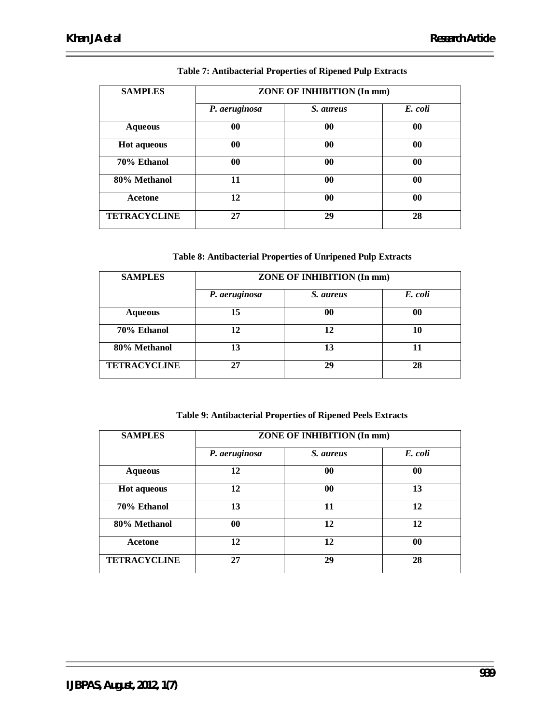| <b>SAMPLES</b>      | ZONE OF INHIBITION (In mm) |           |           |
|---------------------|----------------------------|-----------|-----------|
|                     | P. aeruginosa              | S. aureus | E. coli   |
| <b>Aqueous</b>      | 00                         | 00        | $\bf{00}$ |
| <b>Hot aqueous</b>  | 00                         | 00        | $\bf{00}$ |
| 70% Ethanol         | 00                         | $\bf{00}$ | $\bf{00}$ |
| 80% Methanol        | 11                         | $\bf{00}$ | $\bf{00}$ |
| <b>Acetone</b>      | 12                         | $\bf{00}$ | $\bf{00}$ |
| <b>TETRACYCLINE</b> | 27                         | 29        | 28        |

### **Table 7: Antibacterial Properties of Ripened Pulp Extracts**

### **Table 8: Antibacterial Properties of Unripened Pulp Extracts**

| <b>SAMPLES</b>      | ZONE OF INHIBITION (In mm) |           |         |  |
|---------------------|----------------------------|-----------|---------|--|
|                     | P. aeruginosa              | S. aureus | E. coli |  |
| <b>Aqueous</b>      | 15                         | 00        | 00      |  |
| 70% Ethanol         | 12                         | 12        | 10      |  |
| 80% Methanol        | 13                         | 13        | 11      |  |
| <b>TETRACYCLINE</b> | 27                         | 29        | 28      |  |

#### **Table 9: Antibacterial Properties of Ripened Peels Extracts**

| <b>SAMPLES</b>      | ZONE OF INHIBITION (In mm) |           |           |
|---------------------|----------------------------|-----------|-----------|
|                     | P. aeruginosa              | S. aureus | E. coli   |
| <b>Aqueous</b>      | 12                         | $\bf{00}$ | $\bf{00}$ |
| <b>Hot aqueous</b>  | 12                         | $\bf{00}$ | 13        |
| 70% Ethanol         | 13                         | 11        | 12        |
| 80% Methanol        | $\bf{00}$                  | 12        | 12        |
| <b>Acetone</b>      | 12                         | 12        | $\bf{00}$ |
| <b>TETRACYCLINE</b> | 27                         | 29        | 28        |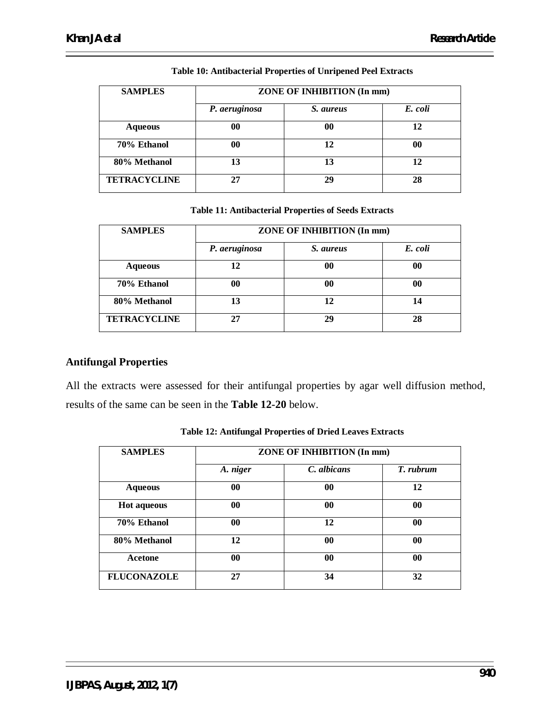| <b>SAMPLES</b>      | ZONE OF INHIBITION (In mm) |           |         |  |
|---------------------|----------------------------|-----------|---------|--|
|                     | P. aeruginosa              | S. aureus | E. coli |  |
| <b>Aqueous</b>      | 00                         | 00        | 12      |  |
| 70% Ethanol         | 00                         | 12        | 00      |  |
| 80% Methanol        | 13                         | 13        | 12      |  |
| <b>TETRACYCLINE</b> | 27                         | 29        | 28      |  |

### **Table 10: Antibacterial Properties of Unripened Peel Extracts**

**Table 11: Antibacterial Properties of Seeds Extracts**

| <b>SAMPLES</b>      | ZONE OF INHIBITION (In mm) |           |         |
|---------------------|----------------------------|-----------|---------|
|                     | P. aeruginosa              | S. aureus | E. coli |
| <b>Aqueous</b>      | 12                         | 00        | 00      |
| 70% Ethanol         | 00                         | 00        | 00      |
| 80% Methanol        | 13                         | 12        | 14      |
| <b>TETRACYCLINE</b> | 27                         | 29        | 28      |

# **Antifungal Properties**

All the extracts were assessed for their antifungal properties by agar well diffusion method, results of the same can be seen in the **Table 12-20** below.

| <b>SAMPLES</b>     | ZONE OF INHIBITION (In mm) |             |           |
|--------------------|----------------------------|-------------|-----------|
|                    | A. niger                   | C. albicans | T. rubrum |
| <b>Aqueous</b>     | 00                         | $\bf{00}$   | 12        |
| <b>Hot aqueous</b> | 00                         | $\bf{00}$   | 00        |
| 70% Ethanol        | 00                         | 12          | $\bf{00}$ |
| 80% Methanol       | 12                         | $\bf{00}$   | 00        |
| Acetone            | 00                         | 00          | $\bf{00}$ |
| <b>FLUCONAZOLE</b> | 27                         | 34          | 32        |

**Table 12: Antifungal Properties of Dried Leaves Extracts**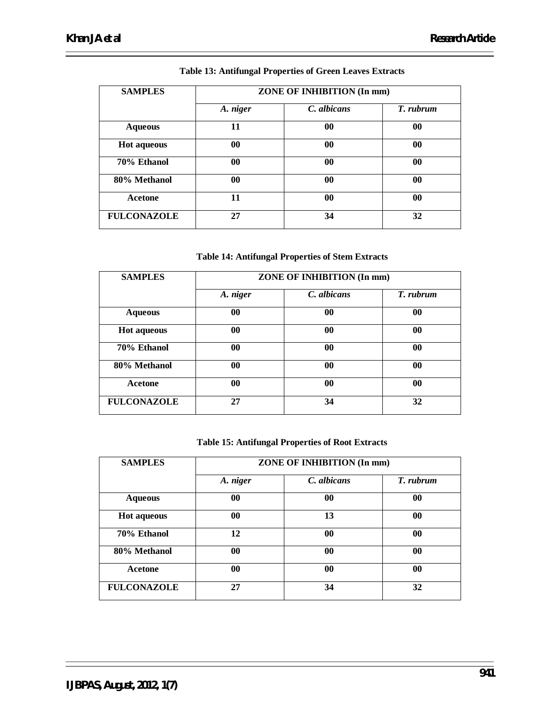| <b>SAMPLES</b>     | ZONE OF INHIBITION (In mm) |             |           |
|--------------------|----------------------------|-------------|-----------|
|                    | A. niger                   | C. albicans | T. rubrum |
| <b>Aqueous</b>     | 11                         | $\bf{00}$   | $\bf{00}$ |
| <b>Hot aqueous</b> | 00                         | 00          | 00        |
| 70% Ethanol        | 00                         | 00          | $\bf{00}$ |
| 80% Methanol       | $\bf{00}$                  | $\bf{00}$   | $\bf{00}$ |
| Acetone            | 11                         | $\bf{00}$   | $\bf{00}$ |
| <b>FULCONAZOLE</b> | 27                         | 34          | 32        |

### **Table 13: Antifungal Properties of Green Leaves Extracts**

### **Table 14: Antifungal Properties of Stem Extracts**

| <b>SAMPLES</b>     | ZONE OF INHIBITION (In mm) |             |           |
|--------------------|----------------------------|-------------|-----------|
|                    | A. niger                   | C. albicans | T. rubrum |
| <b>Aqueous</b>     | 00                         | 00          | $\bf{00}$ |
| <b>Hot aqueous</b> | 00                         | 00          | $\bf{00}$ |
| 70% Ethanol        | 00                         | $\bf{00}$   | $\bf{00}$ |
| 80% Methanol       | 00                         | $\bf{00}$   | $\bf{00}$ |
| Acetone            | 00                         | $\bf{00}$   | $\bf{00}$ |
| <b>FULCONAZOLE</b> | 27                         | 34          | 32        |

#### **Table 15: Antifungal Properties of Root Extracts**

| <b>SAMPLES</b>     | ZONE OF INHIBITION (In mm) |             |           |
|--------------------|----------------------------|-------------|-----------|
|                    | A. niger                   | C. albicans | T. rubrum |
| <b>Aqueous</b>     | 00                         | $\bf{00}$   | 00        |
| <b>Hot aqueous</b> | 00                         | 13          | 00        |
| 70% Ethanol        | 12                         | $\bf{00}$   | 00        |
| 80% Methanol       | 00                         | $\bf{00}$   | 00        |
| Acetone            | 00                         | $\bf{00}$   | 00        |
| <b>FULCONAZOLE</b> | 27                         | 34          | 32        |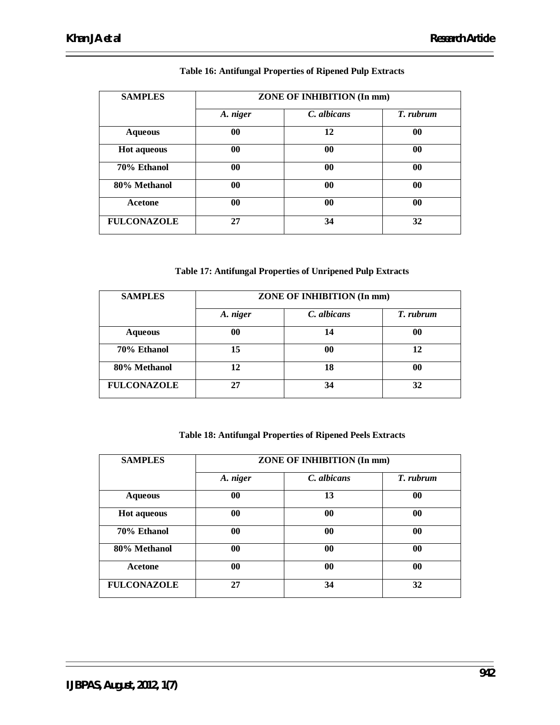| <b>SAMPLES</b>     | ZONE OF INHIBITION (In mm) |             |           |
|--------------------|----------------------------|-------------|-----------|
|                    | A. niger                   | C. albicans | T. rubrum |
| <b>Aqueous</b>     | 00                         | 12          | 00        |
| <b>Hot aqueous</b> | 00                         | $\bf{00}$   | 00        |
| 70% Ethanol        | $\bf{00}$                  | $\bf{00}$   | $\bf{00}$ |
| 80% Methanol       | $\bf{00}$                  | $\bf{00}$   | 00        |
| <b>Acetone</b>     | 00                         | $\bf{00}$   | $\bf{00}$ |
| <b>FULCONAZOLE</b> | 27                         | 34          | 32        |

### **Table 16: Antifungal Properties of Ripened Pulp Extracts**

### **Table 17: Antifungal Properties of Unripened Pulp Extracts**

| <b>SAMPLES</b>     | ZONE OF INHIBITION (In mm) |             |           |
|--------------------|----------------------------|-------------|-----------|
|                    | A. niger                   | C. albicans | T. rubrum |
| <b>Aqueous</b>     | 00                         | 14          | 00        |
| 70% Ethanol        | 15                         | 00          | 12        |
| 80% Methanol       | 12                         | 18          | 00        |
| <b>FULCONAZOLE</b> | 27                         | 34          | 32        |

### **Table 18: Antifungal Properties of Ripened Peels Extracts**

| <b>SAMPLES</b>     | ZONE OF INHIBITION (In mm) |             |           |
|--------------------|----------------------------|-------------|-----------|
|                    | A. niger                   | C. albicans | T. rubrum |
| <b>Aqueous</b>     | $\bf{00}$                  | 13          | 00        |
| <b>Hot aqueous</b> | 00                         | $\bf{00}$   | 00        |
| 70% Ethanol        | 00                         | $\bf{00}$   | 00        |
| 80% Methanol       | 00                         | $\bf{00}$   | 00        |
| Acetone            | $\bf{00}$                  | $\bf{00}$   | 00        |
| <b>FULCONAZOLE</b> | 27                         | 34          | 32        |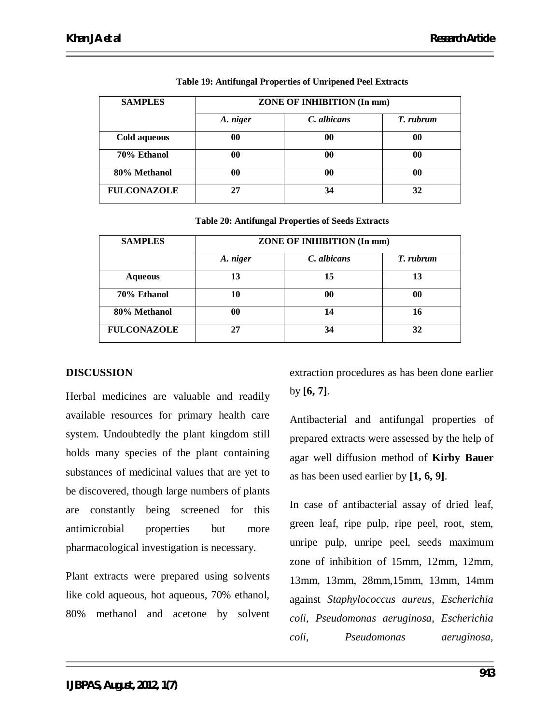| <b>SAMPLES</b>     | ZONE OF INHIBITION (In mm) |             |           |
|--------------------|----------------------------|-------------|-----------|
|                    | A. niger                   | C. albicans | T. rubrum |
| Cold aqueous       | 00                         | 00          | $\bf{00}$ |
| 70% Ethanol        | 00                         | 00          | $\bf{00}$ |
| 80% Methanol       | 00                         | 00          | $\bf{00}$ |
| <b>FULCONAZOLE</b> | 27                         | 34          | 32        |

**Table 19: Antifungal Properties of Unripened Peel Extracts**

|  |  | <b>Table 20: Antifungal Properties of Seeds Extracts</b> |  |
|--|--|----------------------------------------------------------|--|
|--|--|----------------------------------------------------------|--|

| <b>SAMPLES</b>     | ZONE OF INHIBITION (In mm) |             |           |
|--------------------|----------------------------|-------------|-----------|
|                    | A. niger                   | C. albicans | T. rubrum |
| <b>Aqueous</b>     | 13                         | 15          | 13        |
| 70% Ethanol        | 10                         | 00          | 00        |
| 80% Methanol       | 00                         | 14          | 16        |
| <b>FULCONAZOLE</b> | 27                         | 34          | 32        |

# **DISCUSSION**

Herbal medicines are valuable and readily available resources for primary health care system. Undoubtedly the plant kingdom still holds many species of the plant containing substances of medicinal values that are yet to be discovered, though large numbers of plants are constantly being screened for this antimicrobial properties but more pharmacological investigation is necessary.

Plant extracts were prepared using solvents like cold aqueous, hot aqueous, 70% ethanol, 80% methanol and acetone by solvent extraction procedures as has been done earlier by **[6, 7]**.

Antibacterial and antifungal properties of prepared extracts were assessed by the help of agar well diffusion method of **Kirby Bauer** as has been used earlier by **[1, 6, 9]**.

In case of antibacterial assay of dried leaf, green leaf, ripe pulp, ripe peel, root, stem, unripe pulp, unripe peel, seeds maximum zone of inhibition of 15mm, 12mm, 12mm, 13mm, 13mm, 28mm,15mm, 13mm, 14mm against *Staphylococcus aureus, Escherichia coli, Pseudomonas aeruginosa, Escherichia coli, Pseudomonas aeruginosa,*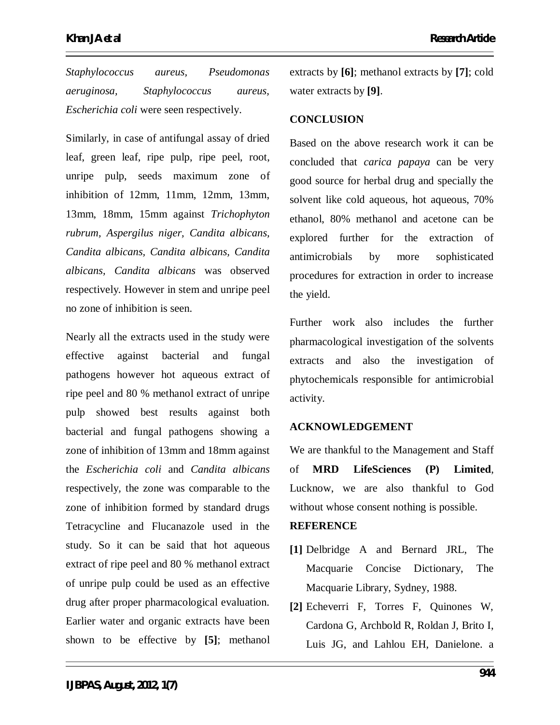*Staphylococcus aureus, Pseudomonas aeruginosa, Staphylococcus aureus, Escherichia coli* were seen respectively.

Similarly, in case of antifungal assay of dried leaf, green leaf, ripe pulp, ripe peel, root, unripe pulp, seeds maximum zone of inhibition of 12mm, 11mm, 12mm, 13mm, 13mm, 18mm, 15mm against *Trichophyton rubrum, Aspergilus niger, Candita albicans, Candita albicans, Candita albicans, Candita albicans, Candita albicans* was observed respectively*.* However in stem and unripe peel no zone of inhibition is seen.

Nearly all the extracts used in the study were effective against bacterial and fungal pathogens however hot aqueous extract of ripe peel and 80 % methanol extract of unripe pulp showed best results against both bacterial and fungal pathogens showing a zone of inhibition of 13mm and 18mm against the *Escherichia coli* and *Candita albicans*  respectively*,* the zone was comparable to the zone of inhibition formed by standard drugs Tetracycline and Flucanazole used in the study. So it can be said that hot aqueous extract of ripe peel and 80 % methanol extract of unripe pulp could be used as an effective drug after proper pharmacological evaluation. Earlier water and organic extracts have been shown to be effective by **[5]**; methanol

extracts by **[6]**; methanol extracts by **[7]**; cold water extracts by **[9]**.

# **CONCLUSION**

Based on the above research work it can be concluded that *carica papaya* can be very good source for herbal drug and specially the solvent like cold aqueous, hot aqueous, 70% ethanol, 80% methanol and acetone can be explored further for the extraction of antimicrobials by more sophisticated procedures for extraction in order to increase the yield.

Further work also includes the further pharmacological investigation of the solvents extracts and also the investigation of phytochemicals responsible for antimicrobial activity.

# **ACKNOWLEDGEMENT**

We are thankful to the Management and Staff of **MRD LifeSciences (P) Limited**, Lucknow, we are also thankful to God without whose consent nothing is possible.

# **REFERENCE**

- **[1]** Delbridge A and Bernard JRL, The Macquarie Concise Dictionary, The Macquarie Library, Sydney, 1988.
- **[2]** Echeverri F, Torres F, Quinones W, Cardona G, Archbold R, Roldan J, Brito I, Luis JG, and Lahlou EH, Danielone. a